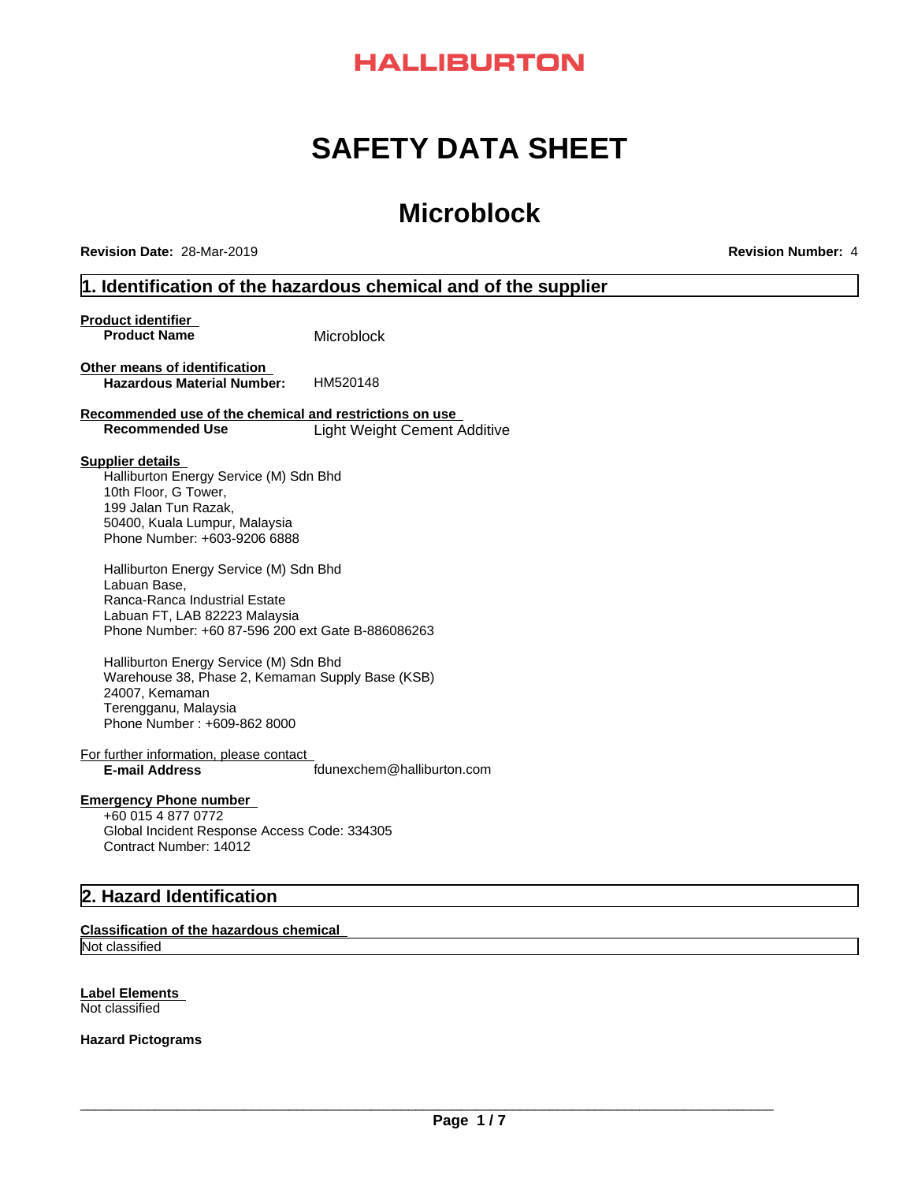# **HALLIBURTON**

# **SAFETY DATA SHEET**

# **Microblock**

**Revision Date:** 28-Mar-2019 **Revision Number:** 4

# **1. Identification of the hazardous chemical and of the supplier**

**Product identifier Product Name** Microblock **Other means of identification**<br>**Hazardous Material Number:** HM520148 **Hazardous Material Number: Recommended use of the chemical and restrictions on use Recommended Use** Light Weight Cement Additive **Supplier details**

Halliburton Energy Service (M) Sdn Bhd 10th Floor, G Tower, 199 Jalan Tun Razak,<br>50400, Kuala Lumpur, Malaysia Phone Number: +603-9206 6888

Halliburton Energy Service (M) Sdn Bhd Labuan Base, Ranca-Ranca Industrial Estate Labuan FT, LAB 82223 Malaysia Phone Number: +60 87-596 200 ext Gate B-886086263

Halliburton Energy Service (M) Sdn Bhd Warehouse 38, Phase 2, Kemaman Supply Base (KSB) 24007, Kemaman Terengganu, Malaysia Phone Number : +609-862 8000

For further information, please contact **E-mail Address** fdunexchem@halliburton.com

# **Emergency Phone number**

+60 015 4 877 0772 Global Incident Response Access Code: 334305 Contract Number: 14012

# **2. Hazard Identification**

#### **Classification of the hazardous chemical**

Not classified

# **Label Elements**

Not classified

**Hazard Pictograms**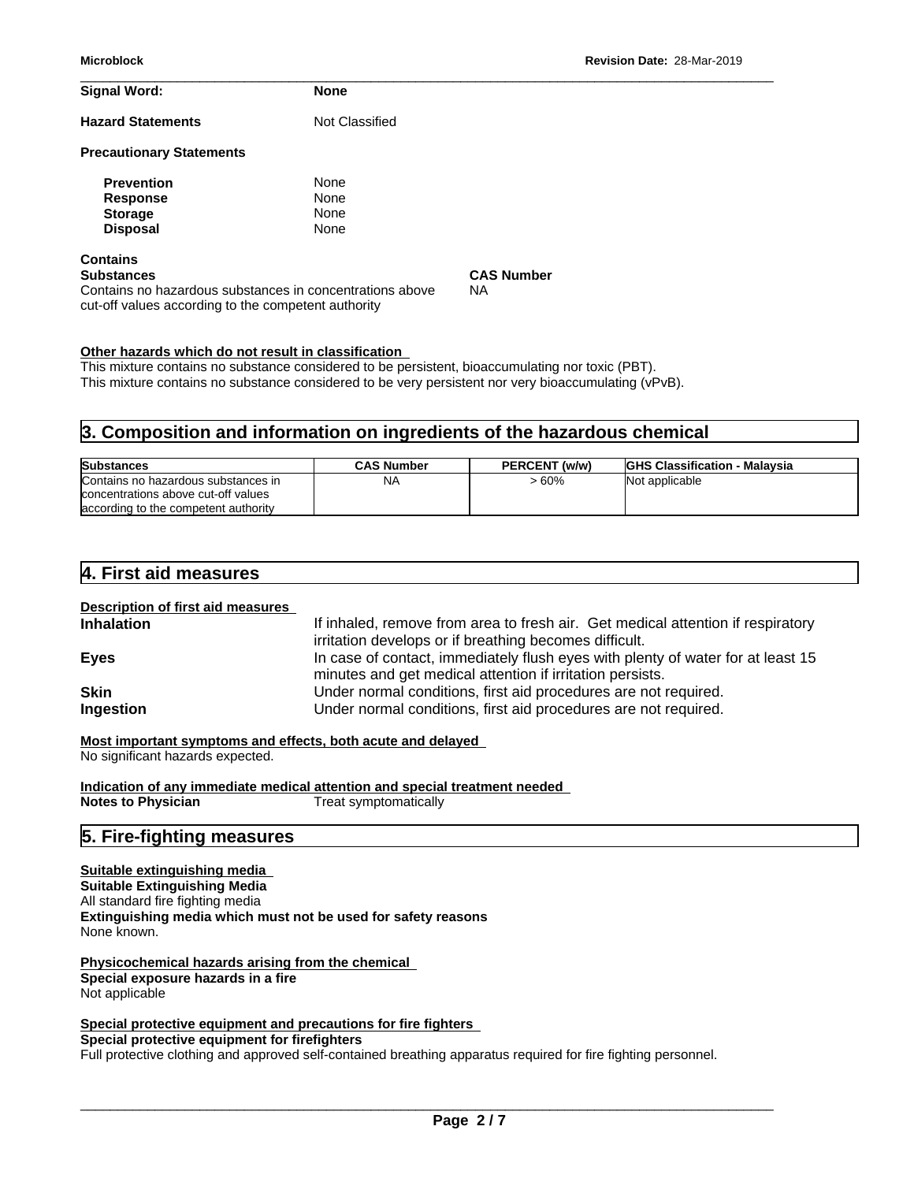| <b>Signal Word:</b>                                                                                                                                     | <b>None</b>                         |                         |
|---------------------------------------------------------------------------------------------------------------------------------------------------------|-------------------------------------|-------------------------|
| <b>Hazard Statements</b>                                                                                                                                | Not Classified                      |                         |
| <b>Precautionary Statements</b>                                                                                                                         |                                     |                         |
| <b>Prevention</b><br><b>Response</b><br><b>Storage</b><br><b>Disposal</b>                                                                               | None<br><b>None</b><br>None<br>None |                         |
| <b>Contains</b><br><b>Substances</b><br>Contains no hazardous substances in concentrations above<br>cut-off values according to the competent authority |                                     | <b>CAS Number</b><br>NА |

#### **Other hazards which do not result in classification**

This mixture contains no substance considered to be persistent, bioaccumulating nor toxic (PBT). This mixture contains no substance considered to be very persistent nor very bioaccumulating (vPvB).

# **3. Composition and information on ingredients of the hazardous chemical**

| <b>Substances</b>                    | <b>CAS Number</b> | PERCENT (w/w) | <b>IGHS Classification - Malaysia</b> |
|--------------------------------------|-------------------|---------------|---------------------------------------|
| Contains no hazardous substances in  | <b>NA</b>         | - 60%         | Not applicable                        |
| concentrations above cut-off values  |                   |               |                                       |
| according to the competent authority |                   |               |                                       |

# **4. First aid measures**

**Description of first aid measures Inhalation** If inhaled, remove from area to fresh air. Get medical attention if respiratory irritation develops or if breathing becomes difficult. **Eyes** In case of contact, immediately flush eyes with plenty of water for at least 15 minutes and get medical attention if irritation persists. **Skin** Sales **Skin** Under normal conditions, first aid procedures are not required. **Ingestion** Under normal conditions, first aid procedures are not required.

**Most important symptoms and effects, both acute and delayed**

No significant hazards expected.

**Indication of any immediate medical attention and special treatment needed Notes to Physician** Treat symptomatically

# **5. Fire-fighting measures**

**Suitable extinguishing media Suitable Extinguishing Media** All standard fire fighting media **Extinguishing media which must not be used for safety reasons** None known.

**Physicochemical hazards arising from the chemical Special exposure hazards in a fire** Not applicable

**Special protective equipment and precautions for fire fighters**

**Special protective equipment for firefighters**

Full protective clothing and approved self-contained breathing apparatus required for fire fighting personnel.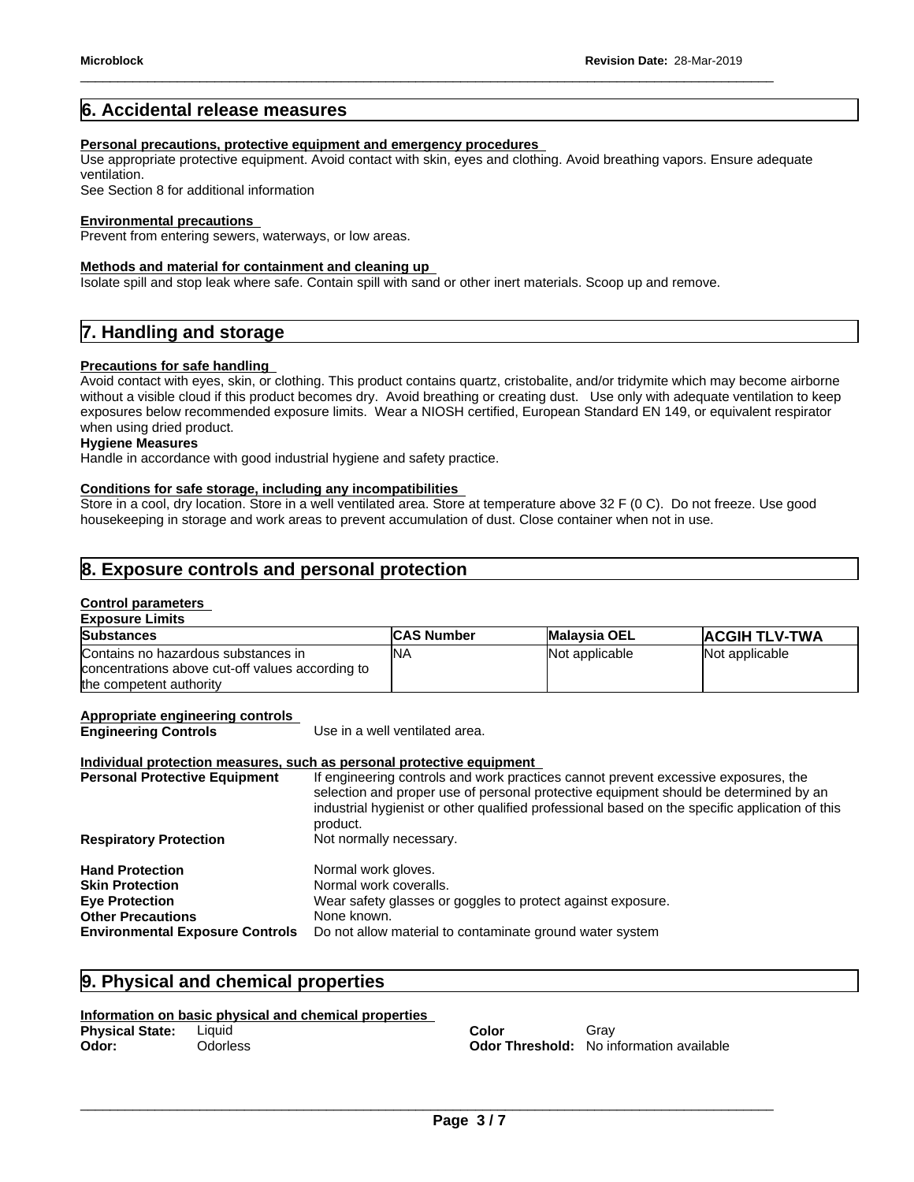# **6. Accidental release measures**

#### **Personal precautions, protective equipment and emergency procedures**

Use appropriate protective equipment. Avoid contact with skin, eyes and clothing. Avoid breathing vapors. Ensure adequate ventilation.

See Section 8 for additional information

#### **Environmental precautions**

Prevent from entering sewers, waterways, or low areas.

#### **Methods and material for containment and cleaning up**

Isolate spill and stop leak where safe. Contain spill with sand or other inert materials. Scoop up and remove.

# **7. Handling and storage**

#### **Precautions for safe handling**

Avoid contact with eyes, skin, or clothing. This product contains quartz, cristobalite, and/or tridymite which may become airborne without a visible cloud if this product becomes dry. Avoid breathing or creating dust. Use only with adequate ventilation to keep exposures below recommended exposure limits. Wear a NIOSH certified, European Standard EN 149, or equivalent respirator when using dried product.

## **Hygiene Measures**

Handle in accordance with good industrial hygiene and safety practice.

#### **Conditions for safe storage, including any incompatibilities**

Store in a cool, dry location. Store in a well ventilated area. Store at temperature above 32 F (0 C). Do not freeze. Use good housekeeping in storage and work areas to prevent accumulation of dust. Close container when not in use.

# **8. Exposure controls and personal protection**

#### **Control parameters Exposure Limits**

| LANUSULE LIIIIILS                                                                                                  |                   |                     |                      |
|--------------------------------------------------------------------------------------------------------------------|-------------------|---------------------|----------------------|
| <b>Substances</b>                                                                                                  | <b>CAS Number</b> | <b>Malaysia OEL</b> | <b>ACGIH TLV-TWA</b> |
| Contains no hazardous substances in<br>concentrations above cut-off values according to<br>the competent authority | 'NΑ               | Not applicable      | Not applicable       |

#### **Appropriate engineering controls**

**Engineering Controls** Use in a well ventilated area.

#### **Individual protection measures, such as personal protective equipment**

| If engineering controls and work practices cannot prevent excessive exposures, the<br>selection and proper use of personal protective equipment should be determined by an<br>industrial hygienist or other qualified professional based on the specific application of this<br>product. |
|------------------------------------------------------------------------------------------------------------------------------------------------------------------------------------------------------------------------------------------------------------------------------------------|
| Not normally necessary.                                                                                                                                                                                                                                                                  |
| Normal work gloves.                                                                                                                                                                                                                                                                      |
| Normal work coveralls.                                                                                                                                                                                                                                                                   |
| Wear safety glasses or goggles to protect against exposure.                                                                                                                                                                                                                              |
| None known.                                                                                                                                                                                                                                                                              |
| Do not allow material to contaminate ground water system                                                                                                                                                                                                                                 |
|                                                                                                                                                                                                                                                                                          |

# **9. Physical and chemical properties**

#### **Information on basic physical and chemical properties**

| Physical State: | Liquid          | Color | Grav                                            |
|-----------------|-----------------|-------|-------------------------------------------------|
| Odor:           | <b>Odorless</b> |       | <b>Odor Threshold:</b> No information available |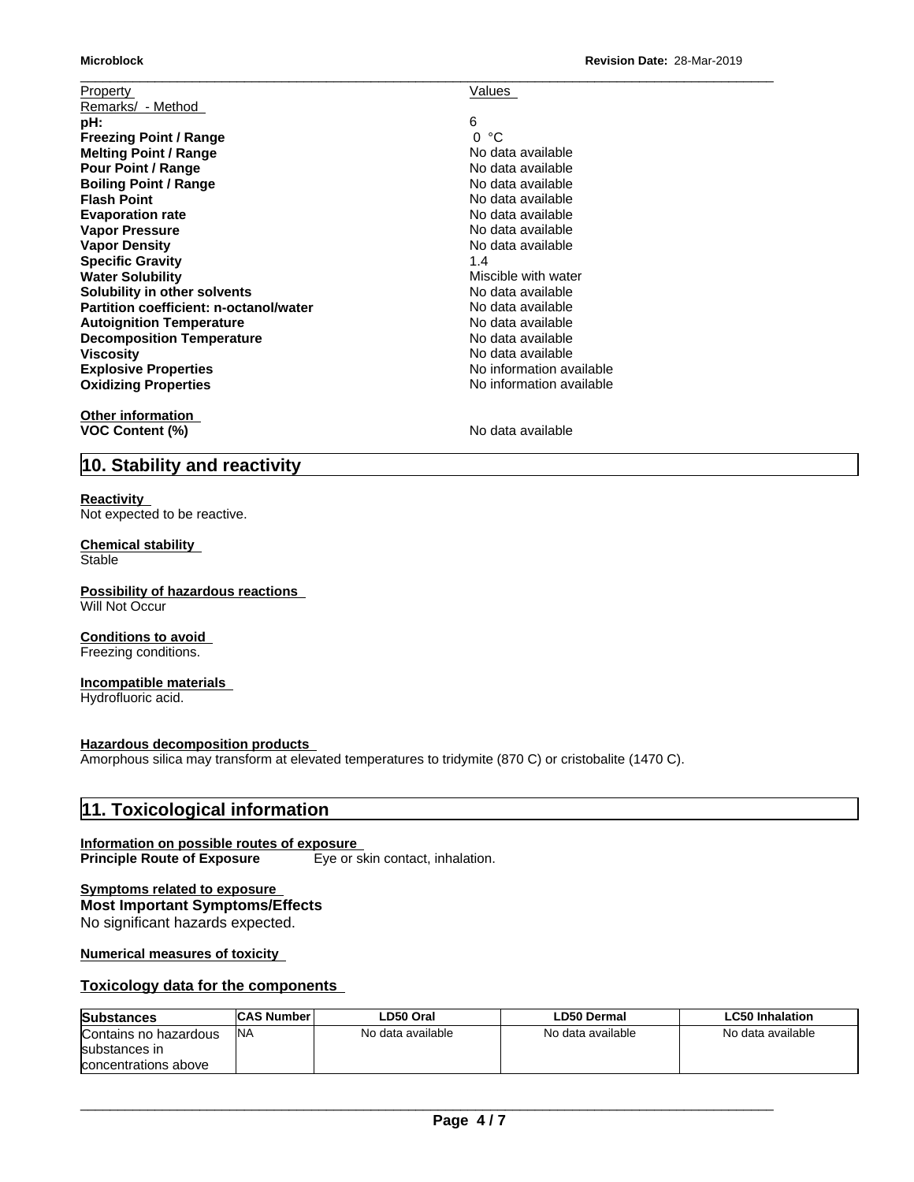| <b>Microblock</b>                      | Revision Date: 28-Mar-2019 |
|----------------------------------------|----------------------------|
| <b>Property</b>                        | Values                     |
| Remarks/ - Method                      |                            |
| pH:                                    | 6                          |
| <b>Freezing Point / Range</b>          | °C<br>$\Omega$             |
| <b>Melting Point / Range</b>           | No data available          |
| <b>Pour Point / Range</b>              | No data available          |
| <b>Boiling Point / Range</b>           | No data available          |
| <b>Flash Point</b>                     | No data available          |
| <b>Evaporation rate</b>                | No data available          |
| <b>Vapor Pressure</b>                  | No data available          |
| <b>Vapor Density</b>                   | No data available          |
| <b>Specific Gravity</b>                | 1.4                        |
| <b>Water Solubility</b>                | Miscible with water        |
| Solubility in other solvents           | No data available          |
| Partition coefficient: n-octanol/water | No data available          |
| <b>Autoignition Temperature</b>        | No data available          |
| <b>Decomposition Temperature</b>       | No data available          |
| Viscosity                              | No data available          |
| <b>Explosive Properties</b>            | No information available   |
| <b>Oxidizing Properties</b>            | No information available   |
| Othar information                      |                            |

**Other information VOC Content (%)** No data available

# **10. Stability and reactivity**

#### **Reactivity** Not expected to be reactive.

#### **Chemical stability Stable**

**Possibility of hazardous reactions** Will Not Occur

# **Conditions to avoid**

Freezing conditions.

#### **Incompatible materials** Hydrofluoric acid.

**Hazardous decomposition products**

Amorphous silica may transform at elevated temperatures to tridymite (870 C) or cristobalite (1470 C).

# **11. Toxicological information**

#### **Information on possible routes of exposure Principle Route of Exposure** Eye or skin contact, inhalation.

## **Symptoms related to exposure Most Important Symptoms/Effects**

No significant hazards expected.

**Numerical measures of toxicity**

# **Toxicology data for the components**

| Substances            | <b>CAS Number</b> | LD50 Oral         | LD50 Dermal       | <b>LC50 Inhalation</b> |
|-----------------------|-------------------|-------------------|-------------------|------------------------|
| Contains no hazardous | <b>NA</b>         | No data available | No data available | No data available      |
| substances in         |                   |                   |                   |                        |
| concentrations above  |                   |                   |                   |                        |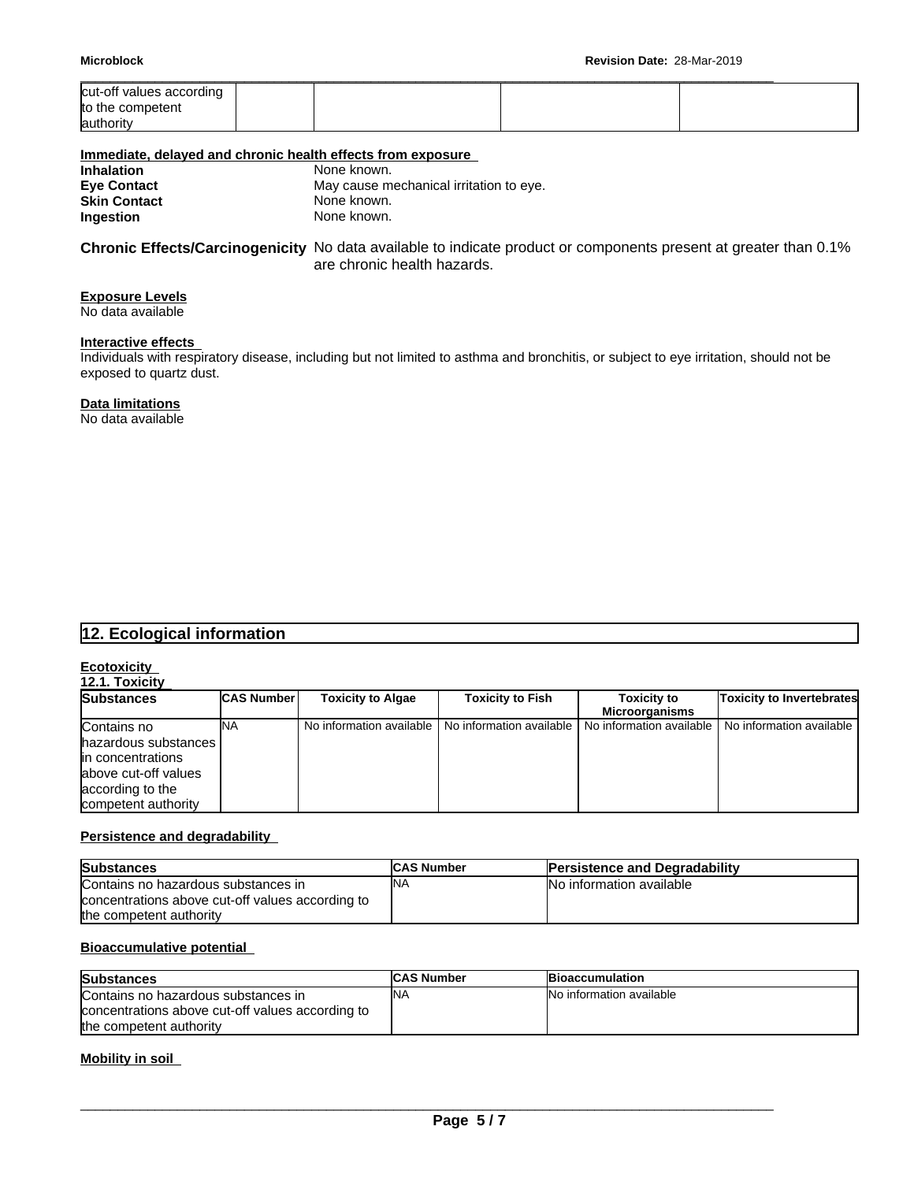| Microblock                                                | <b>Revision Date: 28-Mar-2019</b> |  |  |
|-----------------------------------------------------------|-----------------------------------|--|--|
| cut-off values according<br>to the competent<br>authority |                                   |  |  |

| Immediate, delayed and chronic health effects from exposure |                                         |
|-------------------------------------------------------------|-----------------------------------------|
| <b>Inhalation</b>                                           | None known.                             |
| <b>Eve Contact</b>                                          | May cause mechanical irritation to eye. |
| <b>Skin Contact</b>                                         | None known.                             |
| Ingestion                                                   | None known.                             |

**Chronic Effects/Carcinogenicity** No data available to indicate product or components present at greater than 0.1% are chronic health hazards.

# **Exposure Levels**

No data available

#### **Interactive effects**

Individuals with respiratory disease, including but not limited to asthma and bronchitis, or subject to eye irritation, should not be exposed to quartz dust.

## **Data limitations**

No data available

# **12. Ecological information**

# **Ecotoxicity**

| 12.1. Toxicity |  |
|----------------|--|
|                |  |
|                |  |
|                |  |

| <b>Substances</b>     | <b>CAS Number</b> | <b>Toxicity to Algae</b> | <b>Toxicity to Fish</b>                               | <b>Toxicity to</b> | <b>Toxicity to Invertebrates</b>                    |
|-----------------------|-------------------|--------------------------|-------------------------------------------------------|--------------------|-----------------------------------------------------|
|                       |                   |                          |                                                       | Microorganisms     |                                                     |
| Contains no           | INA               |                          | No information available I No information available I |                    | No information available I No information available |
| hazardous substances  |                   |                          |                                                       |                    |                                                     |
| lin concentrations    |                   |                          |                                                       |                    |                                                     |
| labove cut-off values |                   |                          |                                                       |                    |                                                     |
| according to the      |                   |                          |                                                       |                    |                                                     |
| competent authority   |                   |                          |                                                       |                    |                                                     |

## **Persistence and degradability**

| <b>Substances</b>                                | <b>CAS Number</b> | <b>Persistence and Degradability</b> |
|--------------------------------------------------|-------------------|--------------------------------------|
| Contains no hazardous substances in              | <b>NA</b>         | No information available             |
| concentrations above cut-off values according to |                   |                                      |
| the competent authority                          |                   |                                      |

# **Bioaccumulative potential**

| <b>Substances</b>                                | <b>ICAS Number</b> | <b>Bioaccumulation</b>   |
|--------------------------------------------------|--------------------|--------------------------|
| Contains no hazardous substances in              | <b>NA</b>          | No information available |
| concentrations above cut-off values according to |                    |                          |
| the competent authority                          |                    |                          |

#### **Mobility in soil**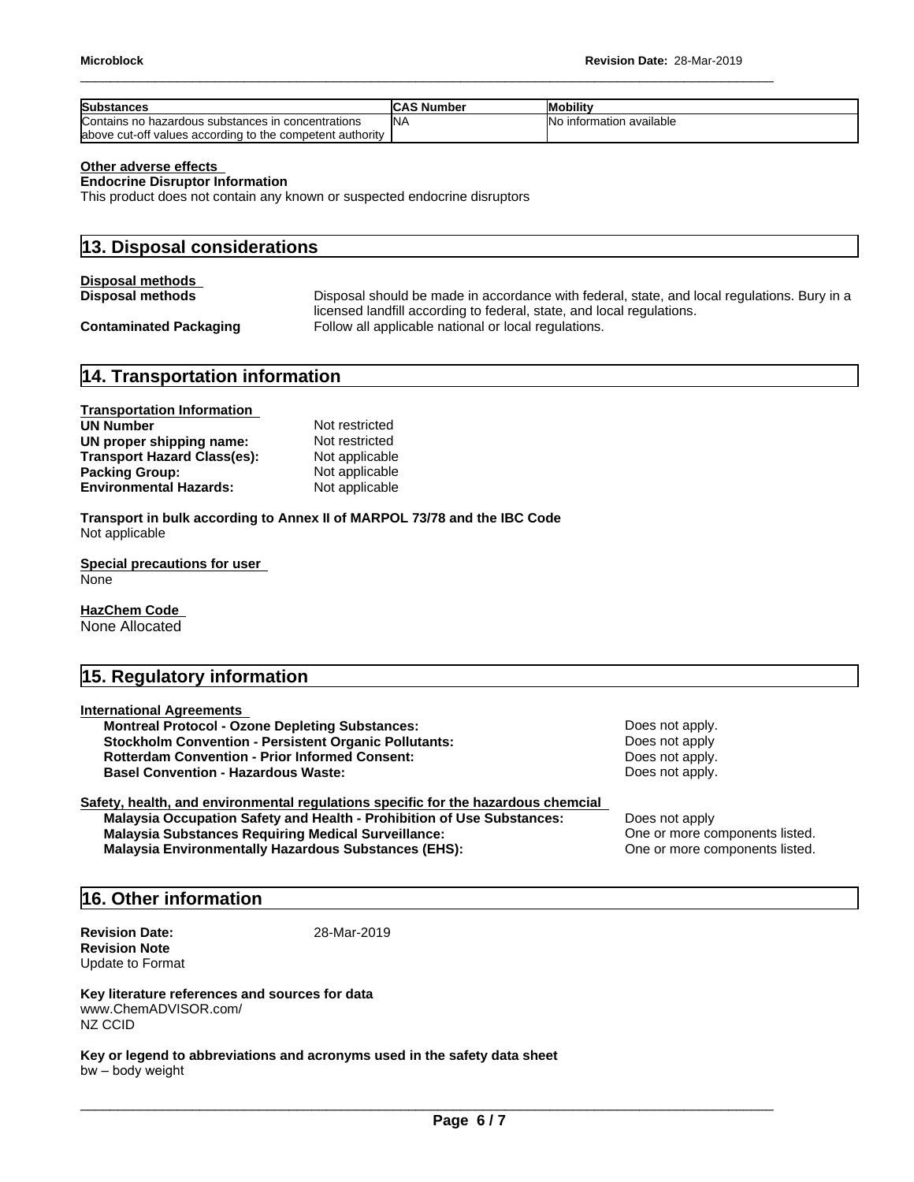| <b>Substances</b>                                          | <b>CAS Number</b> | <b>Mobility</b>          |
|------------------------------------------------------------|-------------------|--------------------------|
| Contains no hazardous substances in concentrations         | <b>INA</b>        | No information available |
| labove cut-off values according to the competent authority |                   |                          |

#### **Other adverse effects**

**Endocrine Disruptor Information**

This product does not contain any known or suspected endocrine disruptors

| 13. Disposal considerations   |                                                                                                                                                                      |  |  |
|-------------------------------|----------------------------------------------------------------------------------------------------------------------------------------------------------------------|--|--|
| <b>Disposal methods</b>       |                                                                                                                                                                      |  |  |
| <b>Disposal methods</b>       | Disposal should be made in accordance with federal, state, and local regulations. Bury in a<br>licensed landfill according to federal, state, and local regulations. |  |  |
| <b>Contaminated Packaging</b> | Follow all applicable national or local regulations.                                                                                                                 |  |  |

# **14. Transportation information**

| <b>Transportation Information</b>  |                |
|------------------------------------|----------------|
| <b>UN Number</b>                   | Not restricted |
| UN proper shipping name:           | Not restricted |
| <b>Transport Hazard Class(es):</b> | Not applicable |
| <b>Packing Group:</b>              | Not applicable |
| <b>Environmental Hazards:</b>      | Not applicable |

**Transport in bulk according to Annex II of MARPOL 73/78 and the IBC Code** Not applicable

**Special precautions for user** None

**HazChem Code**  None Allocated

# **15. Regulatory information**

| <b>International Agreements</b>                              |  |
|--------------------------------------------------------------|--|
| <b>Montreal Protocol - Ozone Depleting Substances:</b>       |  |
| <b>Stockholm Convention - Persistent Organic Pollutants:</b> |  |
| <b>Rotterdam Convention - Prior Informed Consent:</b>        |  |
| <b>Basel Convention - Hazardous Waste:</b>                   |  |
|                                                              |  |

#### **Safety, health, and environmental regulations specific for the hazardous chemcial Malaysia Occupation Safety and Health - Prohibition of Use Substances:** Does not apply **Malaysia Substances Requiring Medical Surveillance:** One or more components listed. **Malaysia Environmentally Hazardous Substances (EHS):** One or more components listed.

**Does not apply. Does not apply Does not apply. Does not apply.** 

# **16. Other information**

**Revision Date:** 28-Mar-2019 **Revision Note** Update to Format

**Key literature references and sources for data** www.ChemADVISOR.com/ NZ CCID

**Key or legend to abbreviations and acronyms used in the safety data sheet** bw–bodyweight